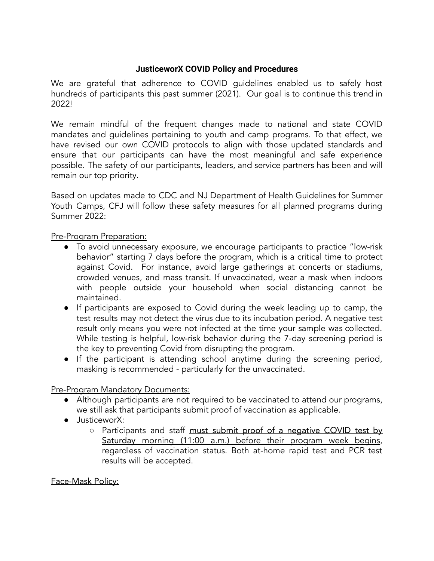## **JusticeworX COVID Policy and Procedures**

We are grateful that adherence to COVID guidelines enabled us to safely host hundreds of participants this past summer (2021). Our goal is to continue this trend in 2022!

We remain mindful of the frequent changes made to national and state COVID mandates and guidelines pertaining to youth and camp programs. To that effect, we have revised our own COVID protocols to align with those updated standards and ensure that our participants can have the most meaningful and safe experience possible. The safety of our participants, leaders, and service partners has been and will remain our top priority.

Based on updates made to CDC and NJ Department of Health Guidelines for Summer Youth Camps, CFJ will follow these safety measures for all planned programs during Summer 2022:

## Pre-Program Preparation:

- To avoid unnecessary exposure, we encourage participants to practice "low-risk behavior" starting 7 days before the program, which is a critical time to protect against Covid. For instance, avoid large gatherings at concerts or stadiums, crowded venues, and mass transit. If unvaccinated, wear a mask when indoors with people outside your household when social distancing cannot be maintained.
- If participants are exposed to Covid during the week leading up to camp, the test results may not detect the virus due to its incubation period. A negative test result only means you were not infected at the time your sample was collected. While testing is helpful, low-risk behavior during the 7-day screening period is the key to preventing Covid from disrupting the program.
- If the participant is attending school anytime during the screening period, masking is recommended - particularly for the unvaccinated.

## Pre-Program Mandatory Documents:

- Although participants are not required to be vaccinated to attend our programs, we still ask that participants submit proof of vaccination as applicable.
- JusticeworX:
	- o Participants and staff must submit proof of a negative COVID test by Saturday morning (11:00 a.m.) before their program week begins, regardless of vaccination status. Both at-home rapid test and PCR test results will be accepted.

Face-Mask Policy: